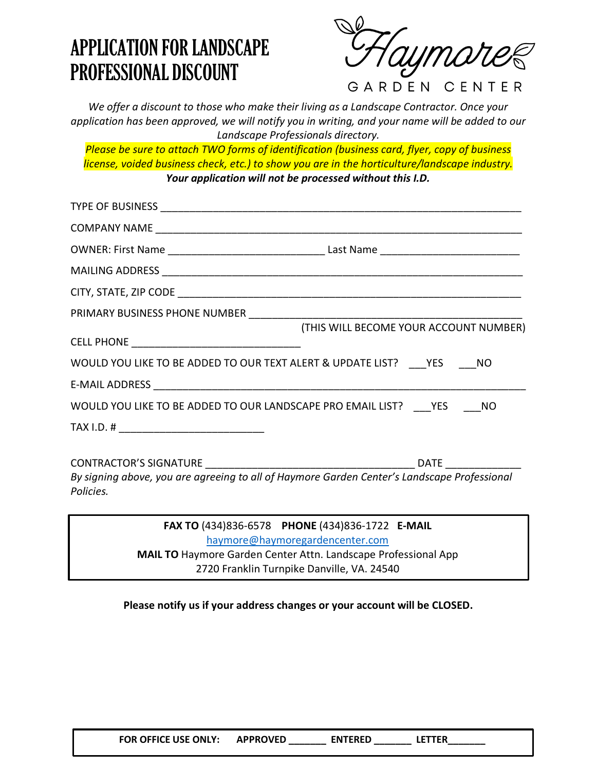## APPLICATION FOR LANDSCAPE PROFESSIONAL DISCOUNT

ymar

GARDEN CENTER

*We offer a discount to those who make their living as a Landscape Contractor. Once your application has been approved, we will notify you in writing, and your name will be added to our Landscape Professionals directory.*

*Please be sure to attach TWO forms of identification (business card, flyer, copy of business license, voided business check, etc.) to show you are in the horticulture/landscape industry. Your application will not be processed without this I.D.*

| (THIS WILL BECOME YOUR ACCOUNT NUMBER)                                                                                                               |  |  |
|------------------------------------------------------------------------------------------------------------------------------------------------------|--|--|
| WOULD YOU LIKE TO BE ADDED TO OUR TEXT ALERT & UPDATE LIST? YES NO                                                                                   |  |  |
|                                                                                                                                                      |  |  |
| WOULD YOU LIKE TO BE ADDED TO OUR LANDSCAPE PRO EMAIL LIST? YES NO                                                                                   |  |  |
|                                                                                                                                                      |  |  |
| By signing above, you are agreeing to all of Haymore Garden Center's Landscape Professional<br>Policies.                                             |  |  |
| FAX TO (434)836-6578 PHONE (434)836-1722 E-MAIL<br>haymore@haymoregardencenter.com<br>MAIL TO Haymore Garden Center Attn. Landscape Professional App |  |  |

2720 Franklin Turnpike Danville, VA. 24540

**Please notify us if your address changes or your account will be CLOSED.**